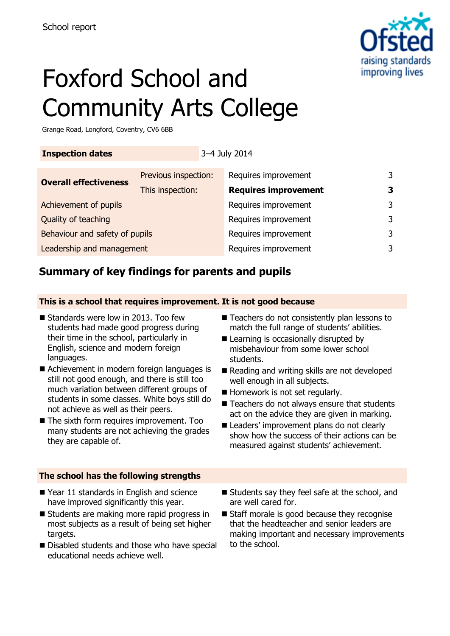

# Foxford School and Community Arts College

Grange Road, Longford, Coventry, CV6 6BB

### **Inspection dates** 3–4 July 2014

| <b>Overall effectiveness</b>   | Previous inspection: | Requires improvement        |   |
|--------------------------------|----------------------|-----------------------------|---|
|                                | This inspection:     | <b>Requires improvement</b> |   |
| Achievement of pupils          |                      | Requires improvement        | ર |
| Quality of teaching            |                      | Requires improvement        | 3 |
| Behaviour and safety of pupils |                      | Requires improvement        | 3 |
| Leadership and management      |                      | Requires improvement        | ว |
|                                |                      |                             |   |

# **Summary of key findings for parents and pupils**

### **This is a school that requires improvement. It is not good because**

- Standards were low in 2013. Too few students had made good progress during their time in the school, particularly in English, science and modern foreign languages.
- Achievement in modern foreign languages is still not good enough, and there is still too much variation between different groups of students in some classes. White boys still do not achieve as well as their peers.
- The sixth form requires improvement. Too many students are not achieving the grades they are capable of.

#### **The school has the following strengths**

- Year 11 standards in English and science have improved significantly this year.
- Students are making more rapid progress in most subjects as a result of being set higher targets.
- Disabled students and those who have special educational needs achieve well.
- Teachers do not consistently plan lessons to match the full range of students' abilities.
- Learning is occasionally disrupted by misbehaviour from some lower school students.
- Reading and writing skills are not developed well enough in all subjects.
- Homework is not set regularly.
- Teachers do not always ensure that students act on the advice they are given in marking.
- Leaders' improvement plans do not clearly show how the success of their actions can be measured against students' achievement.
- Students say they feel safe at the school, and are well cared for.
- Staff morale is good because they recognise that the headteacher and senior leaders are making important and necessary improvements to the school.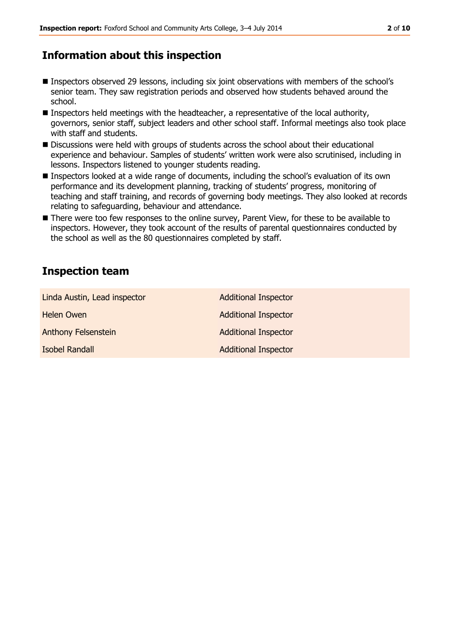# **Information about this inspection**

- Inspectors observed 29 lessons, including six joint observations with members of the school's senior team. They saw registration periods and observed how students behaved around the school.
- **Inspectors held meetings with the headteacher, a representative of the local authority,** governors, senior staff, subject leaders and other school staff. Informal meetings also took place with staff and students.
- Discussions were held with groups of students across the school about their educational experience and behaviour. Samples of students' written work were also scrutinised, including in lessons. Inspectors listened to younger students reading.
- Inspectors looked at a wide range of documents, including the school's evaluation of its own performance and its development planning, tracking of students' progress, monitoring of teaching and staff training, and records of governing body meetings. They also looked at records relating to safeguarding, behaviour and attendance.
- There were too few responses to the online survey, Parent View, for these to be available to inspectors. However, they took account of the results of parental questionnaires conducted by the school as well as the 80 questionnaires completed by staff.

### **Inspection team**

| Linda Austin, Lead inspector | <b>Additional Inspector</b> |
|------------------------------|-----------------------------|
| <b>Helen Owen</b>            | <b>Additional Inspector</b> |
| <b>Anthony Felsenstein</b>   | <b>Additional Inspector</b> |
| <b>Isobel Randall</b>        | <b>Additional Inspector</b> |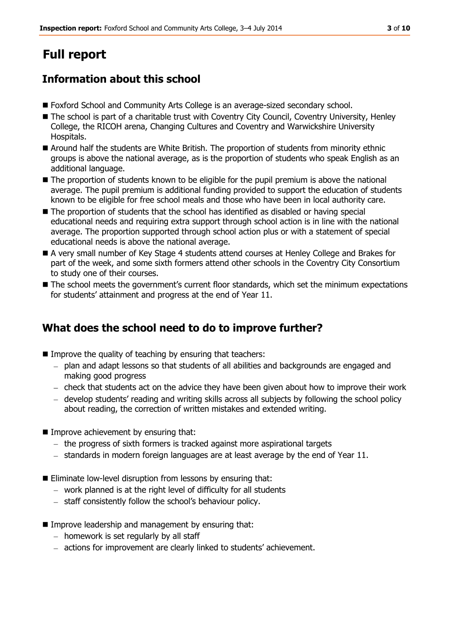# **Full report**

# **Information about this school**

- Foxford School and Community Arts College is an average-sized secondary school.
- The school is part of a charitable trust with Coventry City Council, Coventry University, Henley College, the RICOH arena, Changing Cultures and Coventry and Warwickshire University Hospitals.
- Around half the students are White British. The proportion of students from minority ethnic groups is above the national average, as is the proportion of students who speak English as an additional language.
- The proportion of students known to be eligible for the pupil premium is above the national average. The pupil premium is additional funding provided to support the education of students known to be eligible for free school meals and those who have been in local authority care.
- $\blacksquare$  The proportion of students that the school has identified as disabled or having special educational needs and requiring extra support through school action is in line with the national average. The proportion supported through school action plus or with a statement of special educational needs is above the national average.
- A very small number of Key Stage 4 students attend courses at Henley College and Brakes for part of the week, and some sixth formers attend other schools in the Coventry City Consortium to study one of their courses.
- The school meets the government's current floor standards, which set the minimum expectations for students' attainment and progress at the end of Year 11.

# **What does the school need to do to improve further?**

- Improve the quality of teaching by ensuring that teachers:
	- plan and adapt lessons so that students of all abilities and backgrounds are engaged and making good progress
	- $-$  check that students act on the advice they have been given about how to improve their work
	- develop students' reading and writing skills across all subjects by following the school policy about reading, the correction of written mistakes and extended writing.
- **Improve achievement by ensuring that:** 
	- $-$  the progress of sixth formers is tracked against more aspirational targets
	- $-$  standards in modern foreign languages are at least average by the end of Year 11.
- Eliminate low-level disruption from lessons by ensuring that:
	- work planned is at the right level of difficulty for all students
	- staff consistently follow the school's behaviour policy.
- **IMPROVE LEADERSHIP and management by ensuring that:** 
	- $-$  homework is set regularly by all staff
	- actions for improvement are clearly linked to students' achievement.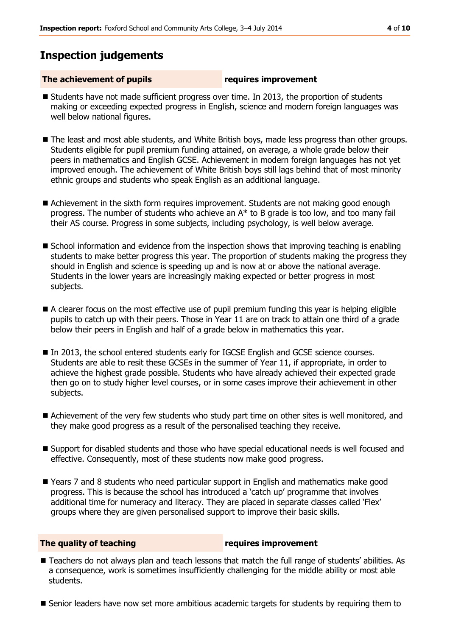# **Inspection judgements**

#### **The achievement of pupils requires improvement**

- Students have not made sufficient progress over time. In 2013, the proportion of students making or exceeding expected progress in English, science and modern foreign languages was well below national figures.
- The least and most able students, and White British boys, made less progress than other groups. Students eligible for pupil premium funding attained, on average, a whole grade below their peers in mathematics and English GCSE. Achievement in modern foreign languages has not yet improved enough. The achievement of White British boys still lags behind that of most minority ethnic groups and students who speak English as an additional language.
- Achievement in the sixth form requires improvement. Students are not making good enough progress. The number of students who achieve an A\* to B grade is too low, and too many fail their AS course. Progress in some subjects, including psychology, is well below average.
- **School information and evidence from the inspection shows that improving teaching is enabling** students to make better progress this year. The proportion of students making the progress they should in English and science is speeding up and is now at or above the national average. Students in the lower years are increasingly making expected or better progress in most subjects.
- A clearer focus on the most effective use of pupil premium funding this year is helping eligible pupils to catch up with their peers. Those in Year 11 are on track to attain one third of a grade below their peers in English and half of a grade below in mathematics this year.
- In 2013, the school entered students early for IGCSE English and GCSE science courses. Students are able to resit these GCSEs in the summer of Year 11, if appropriate, in order to achieve the highest grade possible. Students who have already achieved their expected grade then go on to study higher level courses, or in some cases improve their achievement in other subjects.
- Achievement of the very few students who study part time on other sites is well monitored, and they make good progress as a result of the personalised teaching they receive.
- Support for disabled students and those who have special educational needs is well focused and effective. Consequently, most of these students now make good progress.
- Years 7 and 8 students who need particular support in English and mathematics make good progress. This is because the school has introduced a 'catch up' programme that involves additional time for numeracy and literacy. They are placed in separate classes called 'Flex' groups where they are given personalised support to improve their basic skills.

#### **The quality of teaching requires improvement**

- Teachers do not always plan and teach lessons that match the full range of students' abilities. As a consequence, work is sometimes insufficiently challenging for the middle ability or most able students.
- Senior leaders have now set more ambitious academic targets for students by requiring them to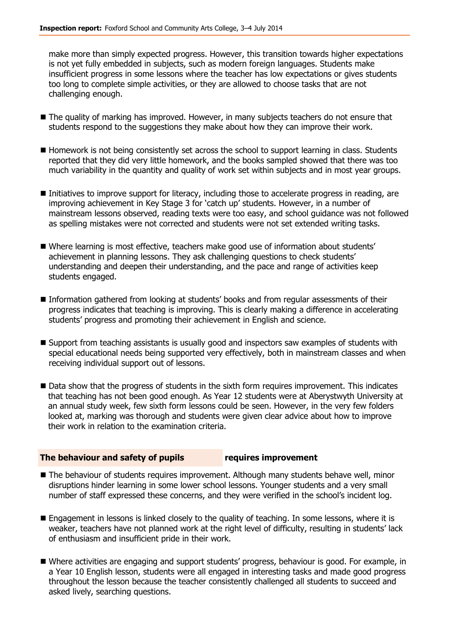make more than simply expected progress. However, this transition towards higher expectations is not yet fully embedded in subjects, such as modern foreign languages. Students make insufficient progress in some lessons where the teacher has low expectations or gives students too long to complete simple activities, or they are allowed to choose tasks that are not challenging enough.

- The quality of marking has improved. However, in many subjects teachers do not ensure that students respond to the suggestions they make about how they can improve their work.
- Homework is not being consistently set across the school to support learning in class. Students reported that they did very little homework, and the books sampled showed that there was too much variability in the quantity and quality of work set within subjects and in most year groups.
- Initiatives to improve support for literacy, including those to accelerate progress in reading, are improving achievement in Key Stage 3 for 'catch up' students. However, in a number of mainstream lessons observed, reading texts were too easy, and school guidance was not followed as spelling mistakes were not corrected and students were not set extended writing tasks.
- Where learning is most effective, teachers make good use of information about students' achievement in planning lessons. They ask challenging questions to check students' understanding and deepen their understanding, and the pace and range of activities keep students engaged.
- Information gathered from looking at students' books and from regular assessments of their progress indicates that teaching is improving. This is clearly making a difference in accelerating students' progress and promoting their achievement in English and science.
- Support from teaching assistants is usually good and inspectors saw examples of students with special educational needs being supported very effectively, both in mainstream classes and when receiving individual support out of lessons.
- Data show that the progress of students in the sixth form requires improvement. This indicates that teaching has not been good enough. As Year 12 students were at Aberystwyth University at an annual study week, few sixth form lessons could be seen. However, in the very few folders looked at, marking was thorough and students were given clear advice about how to improve their work in relation to the examination criteria.

#### **The behaviour and safety of pupils requires improvement**

- The behaviour of students requires improvement. Although many students behave well, minor disruptions hinder learning in some lower school lessons. Younger students and a very small number of staff expressed these concerns, and they were verified in the school's incident log.
- **E** Engagement in lessons is linked closely to the quality of teaching. In some lessons, where it is weaker, teachers have not planned work at the right level of difficulty, resulting in students' lack of enthusiasm and insufficient pride in their work.
- Where activities are engaging and support students' progress, behaviour is good. For example, in a Year 10 English lesson, students were all engaged in interesting tasks and made good progress throughout the lesson because the teacher consistently challenged all students to succeed and asked lively, searching questions.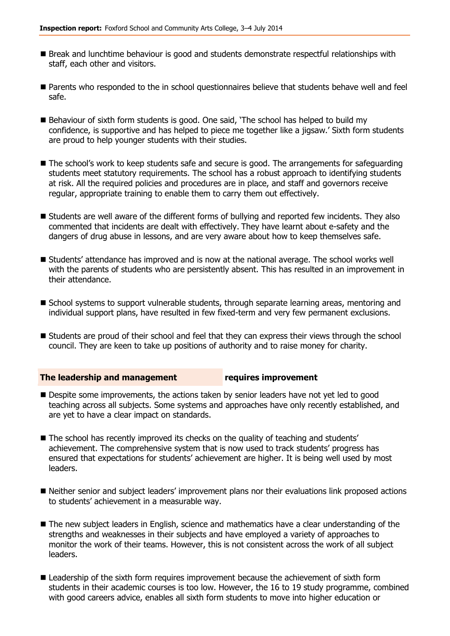- Break and lunchtime behaviour is good and students demonstrate respectful relationships with staff, each other and visitors.
- **Parents who responded to the in school questionnaires believe that students behave well and feel** safe.
- Behaviour of sixth form students is good. One said, 'The school has helped to build my confidence, is supportive and has helped to piece me together like a jigsaw.' Sixth form students are proud to help younger students with their studies.
- The school's work to keep students safe and secure is good. The arrangements for safeguarding students meet statutory requirements. The school has a robust approach to identifying students at risk. All the required policies and procedures are in place, and staff and governors receive regular, appropriate training to enable them to carry them out effectively.
- **Students are well aware of the different forms of bullying and reported few incidents. They also** commented that incidents are dealt with effectively. They have learnt about e-safety and the dangers of drug abuse in lessons, and are very aware about how to keep themselves safe.
- Students' attendance has improved and is now at the national average. The school works well with the parents of students who are persistently absent. This has resulted in an improvement in their attendance.
- **School systems to support vulnerable students, through separate learning areas, mentoring and School** individual support plans, have resulted in few fixed-term and very few permanent exclusions.
- Students are proud of their school and feel that they can express their views through the school council. They are keen to take up positions of authority and to raise money for charity.

#### **The leadership and management requires improvement**

- Despite some improvements, the actions taken by senior leaders have not yet led to good teaching across all subjects. Some systems and approaches have only recently established, and are yet to have a clear impact on standards.
- The school has recently improved its checks on the quality of teaching and students' achievement. The comprehensive system that is now used to track students' progress has ensured that expectations for students' achievement are higher. It is being well used by most leaders.
- Neither senior and subject leaders' improvement plans nor their evaluations link proposed actions to students' achievement in a measurable way.
- The new subject leaders in English, science and mathematics have a clear understanding of the strengths and weaknesses in their subjects and have employed a variety of approaches to monitor the work of their teams. However, this is not consistent across the work of all subject leaders.
- **Leadership of the sixth form requires improvement because the achievement of sixth form** students in their academic courses is too low. However, the 16 to 19 study programme, combined with good careers advice, enables all sixth form students to move into higher education or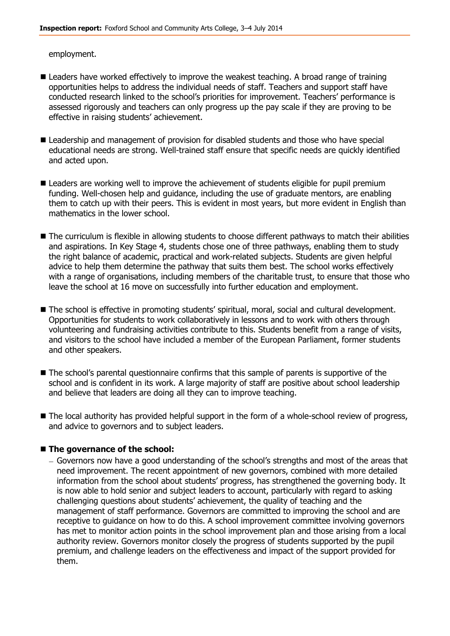employment.

- **E** Leaders have worked effectively to improve the weakest teaching. A broad range of training opportunities helps to address the individual needs of staff. Teachers and support staff have conducted research linked to the school's priorities for improvement. Teachers' performance is assessed rigorously and teachers can only progress up the pay scale if they are proving to be effective in raising students' achievement.
- **Leadership and management of provision for disabled students and those who have special** educational needs are strong. Well-trained staff ensure that specific needs are quickly identified and acted upon.
- **E** Leaders are working well to improve the achievement of students eligible for pupil premium funding. Well-chosen help and guidance, including the use of graduate mentors, are enabling them to catch up with their peers. This is evident in most years, but more evident in English than mathematics in the lower school.
- The curriculum is flexible in allowing students to choose different pathways to match their abilities and aspirations. In Key Stage 4, students chose one of three pathways, enabling them to study the right balance of academic, practical and work-related subjects. Students are given helpful advice to help them determine the pathway that suits them best. The school works effectively with a range of organisations, including members of the charitable trust, to ensure that those who leave the school at 16 move on successfully into further education and employment.
- The school is effective in promoting students' spiritual, moral, social and cultural development. Opportunities for students to work collaboratively in lessons and to work with others through volunteering and fundraising activities contribute to this. Students benefit from a range of visits, and visitors to the school have included a member of the European Parliament, former students and other speakers.
- $\blacksquare$  The school's parental questionnaire confirms that this sample of parents is supportive of the school and is confident in its work. A large majority of staff are positive about school leadership and believe that leaders are doing all they can to improve teaching.
- The local authority has provided helpful support in the form of a whole-school review of progress, and advice to governors and to subject leaders.

#### **The governance of the school:**

Governors now have a good understanding of the school's strengths and most of the areas that need improvement. The recent appointment of new governors, combined with more detailed information from the school about students' progress, has strengthened the governing body. It is now able to hold senior and subject leaders to account, particularly with regard to asking challenging questions about students' achievement, the quality of teaching and the management of staff performance. Governors are committed to improving the school and are receptive to guidance on how to do this. A school improvement committee involving governors has met to monitor action points in the school improvement plan and those arising from a local authority review. Governors monitor closely the progress of students supported by the pupil premium, and challenge leaders on the effectiveness and impact of the support provided for them.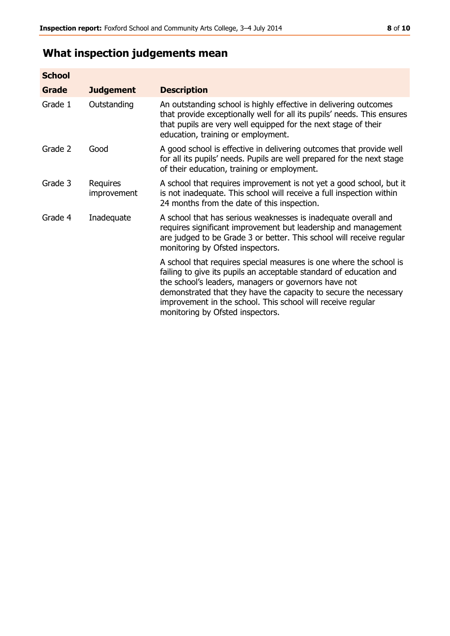# **What inspection judgements mean**

| <b>School</b> |                         |                                                                                                                                                                                                                                                                                                                                                                         |
|---------------|-------------------------|-------------------------------------------------------------------------------------------------------------------------------------------------------------------------------------------------------------------------------------------------------------------------------------------------------------------------------------------------------------------------|
| Grade         | <b>Judgement</b>        | <b>Description</b>                                                                                                                                                                                                                                                                                                                                                      |
| Grade 1       | Outstanding             | An outstanding school is highly effective in delivering outcomes<br>that provide exceptionally well for all its pupils' needs. This ensures<br>that pupils are very well equipped for the next stage of their<br>education, training or employment.                                                                                                                     |
| Grade 2       | Good                    | A good school is effective in delivering outcomes that provide well<br>for all its pupils' needs. Pupils are well prepared for the next stage<br>of their education, training or employment.                                                                                                                                                                            |
| Grade 3       | Requires<br>improvement | A school that requires improvement is not yet a good school, but it<br>is not inadequate. This school will receive a full inspection within<br>24 months from the date of this inspection.                                                                                                                                                                              |
| Grade 4       | Inadequate              | A school that has serious weaknesses is inadequate overall and<br>requires significant improvement but leadership and management<br>are judged to be Grade 3 or better. This school will receive regular<br>monitoring by Ofsted inspectors.                                                                                                                            |
|               |                         | A school that requires special measures is one where the school is<br>failing to give its pupils an acceptable standard of education and<br>the school's leaders, managers or governors have not<br>demonstrated that they have the capacity to secure the necessary<br>improvement in the school. This school will receive regular<br>monitoring by Ofsted inspectors. |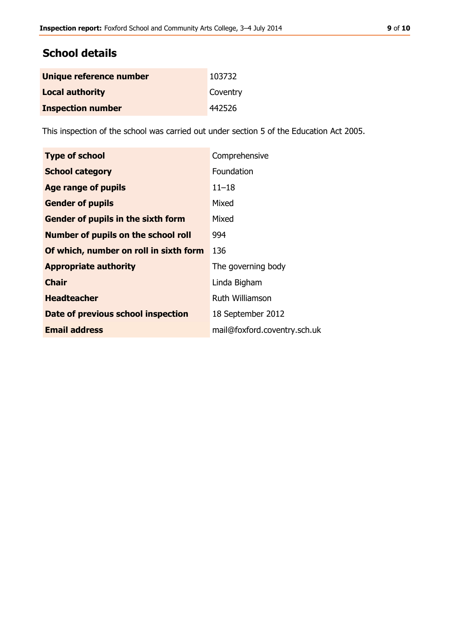# **School details**

| Unique reference number  | 103732   |
|--------------------------|----------|
| <b>Local authority</b>   | Coventry |
| <b>Inspection number</b> | 442526   |

This inspection of the school was carried out under section 5 of the Education Act 2005.

| <b>Type of school</b>                      | Comprehensive                |
|--------------------------------------------|------------------------------|
| <b>School category</b>                     | Foundation                   |
| <b>Age range of pupils</b>                 | $11 - 18$                    |
| <b>Gender of pupils</b>                    | Mixed                        |
| <b>Gender of pupils in the sixth form</b>  | Mixed                        |
| <b>Number of pupils on the school roll</b> | 994                          |
| Of which, number on roll in sixth form     | 136                          |
| <b>Appropriate authority</b>               | The governing body           |
| <b>Chair</b>                               | Linda Bigham                 |
| <b>Headteacher</b>                         | <b>Ruth Williamson</b>       |
| Date of previous school inspection         | 18 September 2012            |
| <b>Email address</b>                       | mail@foxford.coventry.sch.uk |